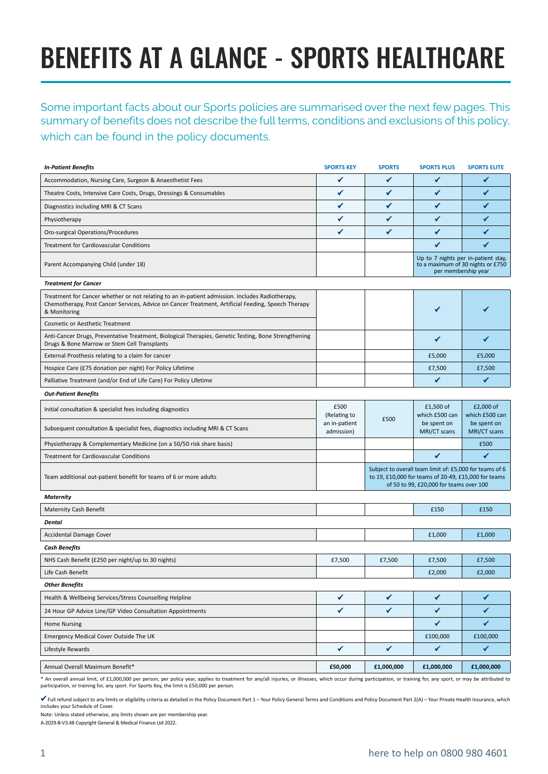## BENEFITS AT A GLANCE - SPORTS HEALTHCARE

Some important facts about our Sports policies are summarised over the next few pages. This summary of benefits does not describe the full terms, conditions and exclusions of this policy, which can be found in the policy documents.

| <b>In-Patient Benefits</b>                                                                                                                                                                                            | <b>SPORTS KEY</b>           | <b>SPORTS</b>                                                                                                                                              | <b>SPORTS PLUS</b>          | <b>SPORTS ELITE</b>         |
|-----------------------------------------------------------------------------------------------------------------------------------------------------------------------------------------------------------------------|-----------------------------|------------------------------------------------------------------------------------------------------------------------------------------------------------|-----------------------------|-----------------------------|
| Accommodation, Nursing Care, Surgeon & Anaesthetist Fees                                                                                                                                                              | ✔                           | ✓                                                                                                                                                          | ✔                           | ✔                           |
| Theatre Costs, Intensive Care Costs, Drugs, Dressings & Consumables                                                                                                                                                   | ✔                           | ✔                                                                                                                                                          | ✔                           | ✔                           |
| Diagnostics including MRI & CT Scans                                                                                                                                                                                  | ✔                           | $\checkmark$                                                                                                                                               | ✔                           | ✔                           |
| Physiotherapy                                                                                                                                                                                                         | ✔                           | ✔                                                                                                                                                          | ✔                           | ✔                           |
| Oro-surgical Operations/Procedures                                                                                                                                                                                    | ✔                           | ✔                                                                                                                                                          | ✔                           | ✔                           |
| Treatment for Cardiovascular Conditions                                                                                                                                                                               |                             |                                                                                                                                                            | ✔                           | ✓                           |
| Parent Accompanying Child (under 18)                                                                                                                                                                                  |                             | Up to 7 nights per in-patient stay,<br>to a maximum of 30 nights or £750<br>per membership year                                                            |                             |                             |
| <b>Treatment for Cancer</b>                                                                                                                                                                                           |                             |                                                                                                                                                            |                             |                             |
| Treatment for Cancer whether or not relating to an in-patient admission. Includes Radiotherapy,<br>Chemotherapy, Post Cancer Services, Advice on Cancer Treatment, Artificial Feeding, Speech Therapy<br>& Monitoring |                             |                                                                                                                                                            | ✔                           |                             |
| Cosmetic or Aesthetic Treatment                                                                                                                                                                                       |                             |                                                                                                                                                            |                             |                             |
| Anti-Cancer Drugs, Preventative Treatment, Biological Therapies, Genetic Testing, Bone Strengthening<br>Drugs & Bone Marrow or Stem Cell Transplants                                                                  |                             |                                                                                                                                                            | ✔                           | ✔                           |
| External Prosthesis relating to a claim for cancer                                                                                                                                                                    |                             |                                                                                                                                                            | £5,000                      | £5,000                      |
| Hospice Care (£75 donation per night) For Policy Lifetime                                                                                                                                                             |                             |                                                                                                                                                            | £7,500                      | £7,500                      |
| Palliative Treatment (and/or End of Life Care) For Policy Lifetime                                                                                                                                                    |                             |                                                                                                                                                            | ✔                           | ✔                           |
| <b>Out-Patient Benefits</b>                                                                                                                                                                                           |                             |                                                                                                                                                            |                             |                             |
| Initial consultation & specialist fees including diagnostics                                                                                                                                                          | £500<br>(Relating to        | £500                                                                                                                                                       | £1,500 of<br>which £500 can | £2,000 of<br>which £500 can |
| Subsequent consultation & specialist fees, diagnostics including MRI & CT Scans                                                                                                                                       | an in-patient<br>admission) |                                                                                                                                                            | be spent on<br>MRI/CT scans | be spent on<br>MRI/CT scans |
| Physiotherapy & Complementary Medicine (on a 50/50 risk share basis)                                                                                                                                                  |                             |                                                                                                                                                            |                             | £500                        |
| Treatment for Cardiovascular Conditions                                                                                                                                                                               |                             |                                                                                                                                                            | $\checkmark$                | $\checkmark$                |
| Team additional out-patient benefit for teams of 6 or more adults                                                                                                                                                     |                             | Subject to overall team limit of: £5,000 for teams of 6<br>to 19, £10,000 for teams of 20-49, £15,000 for teams<br>of 50 to 99, £20,000 for teams over 100 |                             |                             |
| <b>Maternity</b>                                                                                                                                                                                                      |                             |                                                                                                                                                            |                             |                             |
| <b>Maternity Cash Benefit</b>                                                                                                                                                                                         |                             |                                                                                                                                                            | £150                        | £150                        |
| <b>Dental</b>                                                                                                                                                                                                         |                             |                                                                                                                                                            |                             |                             |
| <b>Accidental Damage Cover</b>                                                                                                                                                                                        |                             |                                                                                                                                                            | £1,000                      | £1,000                      |
| <b>Cash Benefits</b>                                                                                                                                                                                                  |                             |                                                                                                                                                            |                             |                             |
| NHS Cash Benefit (£250 per night/up to 30 nights)                                                                                                                                                                     | £7,500                      | £7,500                                                                                                                                                     | £7,500                      | £7,500                      |
| Life Cash Benefit                                                                                                                                                                                                     |                             |                                                                                                                                                            | £2,000                      | £2,000                      |
| <b>Other Benefits</b>                                                                                                                                                                                                 |                             |                                                                                                                                                            |                             |                             |
| Health & Wellbeing Services/Stress Counselling Helpline                                                                                                                                                               | ✓                           | ✔                                                                                                                                                          | ✔                           | ✔                           |
| 24 Hour GP Advice Line/GP Video Consultation Appointments                                                                                                                                                             | ✔                           | $\checkmark$                                                                                                                                               | ✔                           | $\checkmark$                |
| <b>Home Nursing</b>                                                                                                                                                                                                   |                             |                                                                                                                                                            | ✓                           | $\checkmark$                |
| Emergency Medical Cover Outside The UK                                                                                                                                                                                |                             |                                                                                                                                                            | £100,000                    | £100,000                    |
| Lifestyle Rewards                                                                                                                                                                                                     | $\checkmark$                | $\checkmark$                                                                                                                                               | ✓                           | $\checkmark$                |
| Annual Overall Maximum Benefit*                                                                                                                                                                                       | £50,000                     | £1,000,000                                                                                                                                                 | £1,000,000                  | £1,000,000                  |

\* An overall annual limit, of £1,000,000 per person, per policy year, applies to treatment for any/all injuries, or illnesses, which occur during participation, or training for, any sport, or may be attributed to participation, or training for, any sport. For Sports Key, the limit is £50,000 per person.

 $\checkmark$  Full refund subject to any limits or eligibility criteria as detailed in the Policy Document Part 1 – Your Policy General Terms and Conditions and Policy Document Part 2(A) – Your Private Health Insurance, which includes your Schedule of Cover.

Note: Unless stated otherwise, any limits shown are per membership year.

A-2029-B-V3.48 Copyright General & Medical Finance Ltd 2022.